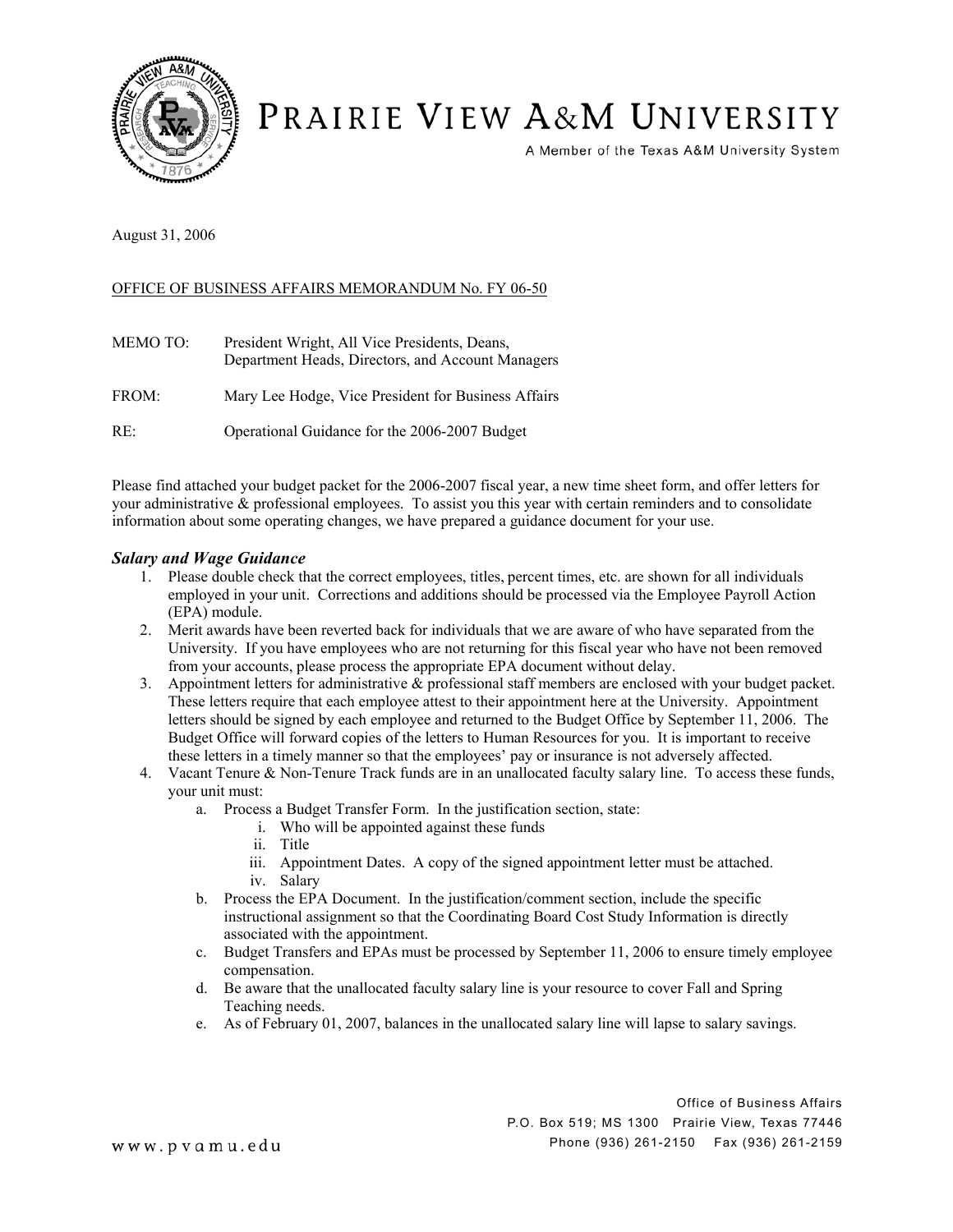

# PRAIRIE VIEW A&M UNIVERSITY

A Member of the Texas A&M University System

August 31, 2006

## OFFICE OF BUSINESS AFFAIRS MEMORANDUM No. FY 06-50

| MEMO TO: | President Wright, All Vice Presidents, Deans,<br>Department Heads, Directors, and Account Managers |
|----------|----------------------------------------------------------------------------------------------------|
| FROM:    | Mary Lee Hodge, Vice President for Business Affairs                                                |
| RE:      | Operational Guidance for the 2006-2007 Budget                                                      |

Please find attached your budget packet for the 2006-2007 fiscal year, a new time sheet form, and offer letters for your administrative & professional employees. To assist you this year with certain reminders and to consolidate information about some operating changes, we have prepared a guidance document for your use.

#### *Salary and Wage Guidance*

- 1. Please double check that the correct employees, titles, percent times, etc. are shown for all individuals employed in your unit. Corrections and additions should be processed via the Employee Payroll Action (EPA) module.
- 2. Merit awards have been reverted back for individuals that we are aware of who have separated from the University. If you have employees who are not returning for this fiscal year who have not been removed from your accounts, please process the appropriate EPA document without delay.
- 3. Appointment letters for administrative & professional staff members are enclosed with your budget packet. These letters require that each employee attest to their appointment here at the University. Appointment letters should be signed by each employee and returned to the Budget Office by September 11, 2006. The Budget Office will forward copies of the letters to Human Resources for you. It is important to receive these letters in a timely manner so that the employees' pay or insurance is not adversely affected.
- 4. Vacant Tenure & Non-Tenure Track funds are in an unallocated faculty salary line. To access these funds, your unit must:
	- a. Process a Budget Transfer Form. In the justification section, state:
		- i. Who will be appointed against these funds
		- ii. Title
		- iii. Appointment Dates. A copy of the signed appointment letter must be attached. iv. Salary
	- b. Process the EPA Document. In the justification/comment section, include the specific instructional assignment so that the Coordinating Board Cost Study Information is directly associated with the appointment.
	- c. Budget Transfers and EPAs must be processed by September 11, 2006 to ensure timely employee compensation.
	- d. Be aware that the unallocated faculty salary line is your resource to cover Fall and Spring Teaching needs.
	- e. As of February 01, 2007, balances in the unallocated salary line will lapse to salary savings.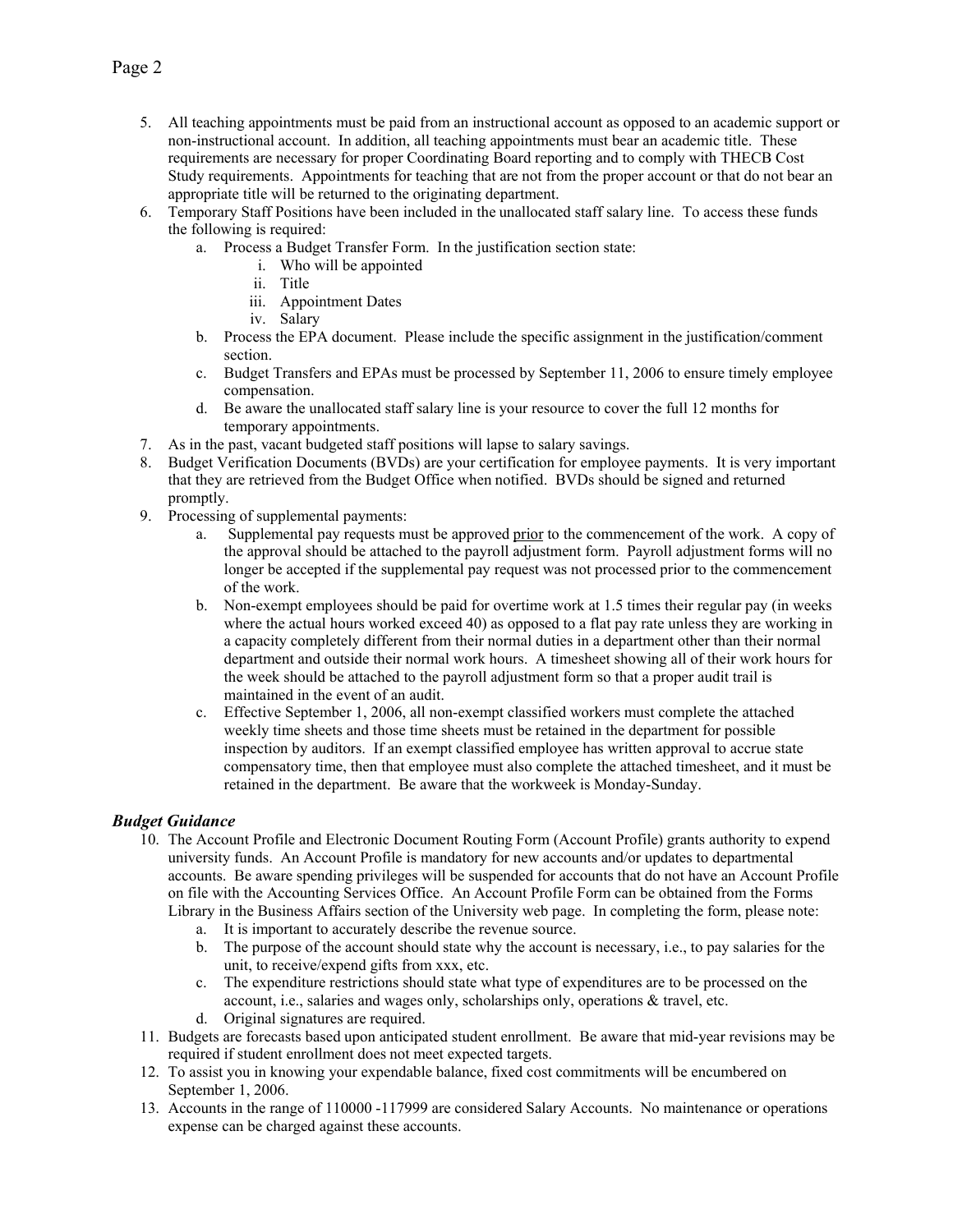- 5. All teaching appointments must be paid from an instructional account as opposed to an academic support or non-instructional account. In addition, all teaching appointments must bear an academic title. These requirements are necessary for proper Coordinating Board reporting and to comply with THECB Cost Study requirements. Appointments for teaching that are not from the proper account or that do not bear an appropriate title will be returned to the originating department.
- 6. Temporary Staff Positions have been included in the unallocated staff salary line. To access these funds the following is required:
	- a. Process a Budget Transfer Form. In the justification section state:
		- i. Who will be appointed
		- ii. Title
		- iii. Appointment Dates
		- iv. Salary
	- b. Process the EPA document. Please include the specific assignment in the justification/comment section.
	- c. Budget Transfers and EPAs must be processed by September 11, 2006 to ensure timely employee compensation.
	- d. Be aware the unallocated staff salary line is your resource to cover the full 12 months for temporary appointments.
- 7. As in the past, vacant budgeted staff positions will lapse to salary savings.
- 8. Budget Verification Documents (BVDs) are your certification for employee payments. It is very important that they are retrieved from the Budget Office when notified. BVDs should be signed and returned promptly.
- 9. Processing of supplemental payments:
	- a. Supplemental pay requests must be approved prior to the commencement of the work. A copy of the approval should be attached to the payroll adjustment form. Payroll adjustment forms will no longer be accepted if the supplemental pay request was not processed prior to the commencement of the work.
	- b. Non-exempt employees should be paid for overtime work at 1.5 times their regular pay (in weeks where the actual hours worked exceed 40) as opposed to a flat pay rate unless they are working in a capacity completely different from their normal duties in a department other than their normal department and outside their normal work hours. A timesheet showing all of their work hours for the week should be attached to the payroll adjustment form so that a proper audit trail is maintained in the event of an audit.
	- c. Effective September 1, 2006, all non-exempt classified workers must complete the attached weekly time sheets and those time sheets must be retained in the department for possible inspection by auditors. If an exempt classified employee has written approval to accrue state compensatory time, then that employee must also complete the attached timesheet, and it must be retained in the department. Be aware that the workweek is Monday-Sunday.

### *Budget Guidance*

- 10. The Account Profile and Electronic Document Routing Form (Account Profile) grants authority to expend university funds. An Account Profile is mandatory for new accounts and/or updates to departmental accounts. Be aware spending privileges will be suspended for accounts that do not have an Account Profile on file with the Accounting Services Office. An Account Profile Form can be obtained from the Forms Library in the Business Affairs section of the University web page. In completing the form, please note:
	- a. It is important to accurately describe the revenue source.
	- b. The purpose of the account should state why the account is necessary, i.e., to pay salaries for the unit, to receive/expend gifts from xxx, etc.
	- c. The expenditure restrictions should state what type of expenditures are to be processed on the account, i.e., salaries and wages only, scholarships only, operations & travel, etc.
	- d. Original signatures are required.
- 11. Budgets are forecasts based upon anticipated student enrollment. Be aware that mid-year revisions may be required if student enrollment does not meet expected targets.
- 12. To assist you in knowing your expendable balance, fixed cost commitments will be encumbered on September 1, 2006.
- 13. Accounts in the range of 110000 -117999 are considered Salary Accounts. No maintenance or operations expense can be charged against these accounts.